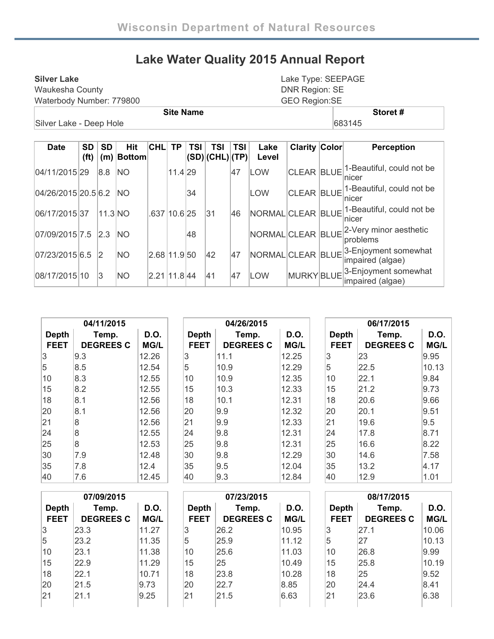## **Lake Water Quality 2015 Annual Report**

| <b>Silver Lake</b>       | Lake Type: SEEPAGE    |
|--------------------------|-----------------------|
| Waukesha County          | <b>DNR Region: SE</b> |
| Waterbody Number: 779800 | <b>GEO Region:SE</b>  |
| <b>Site Name</b>         | Storet#               |
| Silver Lake - Deep Hole  | 683145                |

| Date                | <b>SD</b><br>(f <sup>t</sup> ) | SD      | Hit<br>$(m)$ Bottom | <b>CHL</b>   | <b>TP</b>    | TSI | TSI<br>(SD) (CHL) (TP) | TSI | Lake<br>Level     | <b>Clarity Color</b> | <b>Perception</b>                        |
|---------------------|--------------------------------|---------|---------------------|--------------|--------------|-----|------------------------|-----|-------------------|----------------------|------------------------------------------|
| 04/11/2015 29       |                                | 8.8     | <b>NO</b>           |              | 11.4 29      |     |                        | 47  | <b>LOW</b>        | <b>CLEAR BLUE</b>    | 1-Beautiful, could not be<br>nicer       |
| 04/26/2015 20.5 6.2 |                                |         | <b>INO</b>          |              |              | 34  |                        |     | <b>LOW</b>        | <b>CLEAR BLUE</b>    | 1-Beautiful, could not be<br>nicer       |
| 06/17/2015 37       |                                | 11.3 NO |                     |              | .637 10.6 25 |     | 31                     | 46  | NORMAL CLEAR BLUE |                      | 1-Beautiful, could not be<br>nicer       |
| 07/09/2015 7.5      |                                | 2.3     | <b>INO</b>          |              |              | 48  |                        |     | NORMAL CLEAR BLUE |                      | 2-Very minor aesthetic<br>problems       |
| 07/23/2015 6.5      |                                | 12      | <b>NO</b>           | 2.68 11.9 50 |              |     | 42                     | 47  | NORMAL CLEAR BLUE |                      | 3-Enjoyment somewhat<br>impaired (algae) |
| 08/17/2015 10       |                                | 3       | <b>NO</b>           | 2.21 11.8 44 |              |     | 41                     | 47  | <b>LOW</b>        | MURKY BLUE           | 3-Enjoyment somewhat<br>impaired (algae) |

|                             | 04/11/2015                |                     |                             | 04/26/2015                |                     | 06/17/2015                  |                           |                     |  |
|-----------------------------|---------------------------|---------------------|-----------------------------|---------------------------|---------------------|-----------------------------|---------------------------|---------------------|--|
| <b>Depth</b><br><b>FEET</b> | Temp.<br><b>DEGREES C</b> | D.O.<br><b>MG/L</b> | <b>Depth</b><br><b>FEET</b> | Temp.<br><b>DEGREES C</b> | D.O.<br><b>MG/L</b> | <b>Depth</b><br><b>FEET</b> | Temp.<br><b>DEGREES C</b> | D.O.<br><b>MG/L</b> |  |
|                             |                           |                     |                             |                           |                     |                             |                           |                     |  |
| 3                           | 9.3                       | 12.26               | 3                           | 11.1                      | 12.25               | 3                           | 23                        | 9.95                |  |
| 5                           | 8.5                       | 12.54               | 5                           | 10.9                      | 12.29               | 5                           | 22.5                      | 10.13               |  |
| 10                          | 8.3                       | 12.55               | 10                          | 10.9                      | 12.35               | 10                          | 22.1                      | 9.84                |  |
| 15                          | 8.2                       | 12.55               | 15                          | 10.3                      | 12.33               | 15                          | 21.2                      | 9.73                |  |
| 18                          | 8.1                       | 12.56               | 18                          | 10.1                      | 12.31               | 18                          | 20.6                      | 9.66                |  |
| 20                          | 8.1                       | 12.56               | 20                          | 9.9                       | 12.32               | 20                          | 20.1                      | 9.51                |  |
| 21                          | 8                         | 12.56               | 21                          | 9.9                       | 12.33               | 21                          | 19.6                      | 9.5                 |  |
| 24                          | 8                         | 12.55               | 24                          | 9.8                       | 12.31               | 24                          | 17.8                      | 8.71                |  |
| 25                          | 8                         | 12.53               | 25                          | 9.8                       | 12.31               | 25                          | 16.6                      | 8.22                |  |
| 30                          | 7.9                       | 12.48               | 30                          | 9.8                       | 12.29               | 30                          | 14.6                      | 7.58                |  |
| 35                          | 7.8                       | 12.4                | 35                          | 9.5                       | 12.04               | 35                          | 13.2                      | 4.17                |  |
| 40                          | 7.6                       | 12.45               | 40                          | 9.3                       | 12.84               | 40                          | 12.9                      | 1.01                |  |

|              | 07/09/2015       |             |              | 07/23/2015       |             | 08/17/2015   |                  |       |  |
|--------------|------------------|-------------|--------------|------------------|-------------|--------------|------------------|-------|--|
| <b>Depth</b> | Temp.            | D.O.        | <b>Depth</b> | Temp.            | <b>D.O.</b> | <b>Depth</b> | Temp.            | D.O.  |  |
| <b>FEET</b>  | <b>DEGREES C</b> | <b>MG/L</b> | <b>FEET</b>  | <b>DEGREES C</b> | <b>MG/L</b> | <b>FEET</b>  | <b>DEGREES C</b> | MG/L  |  |
| 3            | 23.3             | 11.27       | 3            | 26.2             | 10.95       | 3            | 27.1             | 10.06 |  |
| 15           | 23.2             | 11.35       | 5            | 25.9             | 11.12       | 5            | 27               | 10.13 |  |
| 10           | 23.1             | 11.38       | 10           | 25.6             | 11.03       | 10           | 26.8             | 9.99  |  |
| 15           | 22.9             | 11.29       | 15           | 25               | 10.49       | 15           | 25.8             | 10.19 |  |
| 18           | 22.1             | 10.71       | 18           | 23.8             | 10.28       | 18           | 25               | 9.52  |  |
| 20           | 21.5             | 9.73        | 20           | 22.7             | 8.85        | 20           | 24.4             | 8.41  |  |
| 21           | 21.1             | 9.25        | 21           | 21.5             | 6.63        | 21           | 23.6             | 6.38  |  |
|              |                  |             |              |                  |             |              |                  |       |  |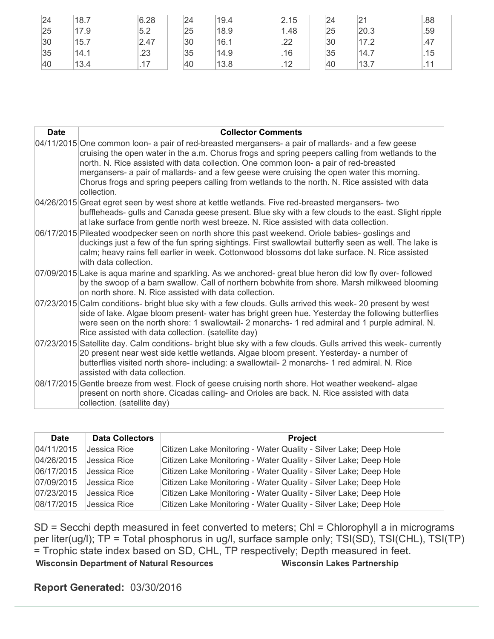| 24 | 18.7 | 6.28 | 24 | 19.4 | 2.15                 | 24 | 21   | .88 |
|----|------|------|----|------|----------------------|----|------|-----|
| 25 | 17.9 | 5.2  | 25 | 18.9 | 1.48                 | 25 | 20.3 | .59 |
| 30 | 15.7 | 2.47 | 30 | 16.1 | .22                  | 30 | 17.2 | .47 |
| 35 | 14.1 | .23  | 35 | 14.9 | .16                  | 35 | 14.7 | .15 |
| 40 | 13.4 | 47   | 40 | 13.8 | 12<br>$\cdot$ $\sim$ | 40 | 13.7 |     |

| <b>Date</b> | <b>Collector Comments</b>                                                                                                                                                                                                                                                                                                                                                                                                                                                                                      |
|-------------|----------------------------------------------------------------------------------------------------------------------------------------------------------------------------------------------------------------------------------------------------------------------------------------------------------------------------------------------------------------------------------------------------------------------------------------------------------------------------------------------------------------|
|             | 04/11/2015 One common loon- a pair of red-breasted mergansers- a pair of mallards- and a few geese<br>cruising the open water in the a.m. Chorus frogs and spring peepers calling from wetlands to the<br>north. N. Rice assisted with data collection. One common loon- a pair of red-breasted<br>mergansers- a pair of mallards- and a few geese were cruising the open water this morning.<br>Chorus frogs and spring peepers calling from wetlands to the north. N. Rice assisted with data<br>collection. |
|             | 04/26/2015 Great egret seen by west shore at kettle wetlands. Five red-breasted mergansers- two<br>buffleheads- gulls and Canada geese present. Blue sky with a few clouds to the east. Slight ripple<br>at lake surface from gentle north west breeze. N. Rice assisted with data collection.                                                                                                                                                                                                                 |
|             | 06/17/2015 Pileated woodpecker seen on north shore this past weekend. Oriole babies-goslings and<br>duckings just a few of the fun spring sightings. First swallowtail butterfly seen as well. The lake is<br>calm; heavy rains fell earlier in week. Cottonwood blossoms dot lake surface. N. Rice assisted<br>with data collection.                                                                                                                                                                          |
|             | 07/09/2015 Lake is aqua marine and sparkling. As we anchored- great blue heron did low fly over- followed<br>by the swoop of a barn swallow. Call of northern bobwhite from shore. Marsh milkweed blooming<br>on north shore. N. Rice assisted with data collection.                                                                                                                                                                                                                                           |
|             | 07/23/2015 Calm conditions- bright blue sky with a few clouds. Gulls arrived this week- 20 present by west<br>side of lake. Algae bloom present- water has bright green hue. Yesterday the following butterflies<br>were seen on the north shore: 1 swallowtail- 2 monarchs- 1 red admiral and 1 purple admiral. N.<br>Rice assisted with data collection. (satellite day)                                                                                                                                     |
|             | 07/23/2015 Satellite day. Calm conditions- bright blue sky with a few clouds. Gulls arrived this week- currently<br>20 present near west side kettle wetlands. Algae bloom present. Yesterday- a number of<br>butterflies visited north shore- including: a swallowtail- 2 monarchs- 1 red admiral. N. Rice<br>assisted with data collection.                                                                                                                                                                  |
|             | 08/17/2015 Gentle breeze from west. Flock of geese cruising north shore. Hot weather weekend- algae<br>present on north shore. Cicadas calling- and Orioles are back. N. Rice assisted with data<br>collection. (satellite day)                                                                                                                                                                                                                                                                                |

| <b>Date</b> | <b>Data Collectors</b> | <b>Project</b>                                                   |
|-------------|------------------------|------------------------------------------------------------------|
| 04/11/2015  | Jessica Rice           | Citizen Lake Monitoring - Water Quality - Silver Lake; Deep Hole |
| 04/26/2015  | Jessica Rice           | Citizen Lake Monitoring - Water Quality - Silver Lake; Deep Hole |
| 06/17/2015  | Jessica Rice           | Citizen Lake Monitoring - Water Quality - Silver Lake; Deep Hole |
| 07/09/2015  | Jessica Rice           | Citizen Lake Monitoring - Water Quality - Silver Lake; Deep Hole |
| 07/23/2015  | Jessica Rice           | Citizen Lake Monitoring - Water Quality - Silver Lake; Deep Hole |
| 08/17/2015  | Jessica Rice           | Citizen Lake Monitoring - Water Quality - Silver Lake; Deep Hole |

SD = Secchi depth measured in feet converted to meters; Chl = Chlorophyll a in micrograms per liter(ug/l); TP = Total phosphorus in ug/l, surface sample only; TSI(SD), TSI(CHL), TSI(TP) = Trophic state index based on SD, CHL, TP respectively; Depth measured in feet. **Wisconsin Department of Natural Resources Wisconsin Lakes Partnership** 

**Report Generated:** 03/30/2016